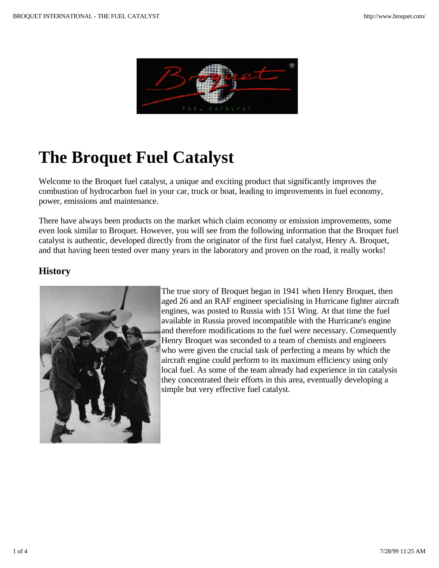

# **The Broquet Fuel Catalyst**

Welcome to the Broquet fuel catalyst, a unique and exciting product that significantly improves the combustion of hydrocarbon fuel in your car, truck or boat, leading to improvements in fuel economy, power, emissions and maintenance.

There have always been products on the market which claim economy or emission improvements, some even look similar to Broquet. However, you will see from the following information that the Broquet fuel catalyst is authentic, developed directly from the originator of the first fuel catalyst, Henry A. Broquet, and that having been tested over many years in the laboratory and proven on the road, it really works!

### **History**



The true story of Broquet began in 1941 when Henry Broquet, then aged 26 and an RAF engineer specialising in Hurricane fighter aircraft engines, was posted to Russia with 151 Wing. At that time the fuel available in Russia proved incompatible with the Hurricane's engine and therefore modifications to the fuel were necessary. Consequently Henry Broquet was seconded to a team of chemists and engineers who were given the crucial task of perfecting a means by which the aircraft engine could perform to its maximum efficiency using only local fuel. As some of the team already had experience in tin catalysis they concentrated their efforts in this area, eventually developing a simple but very effective fuel catalyst.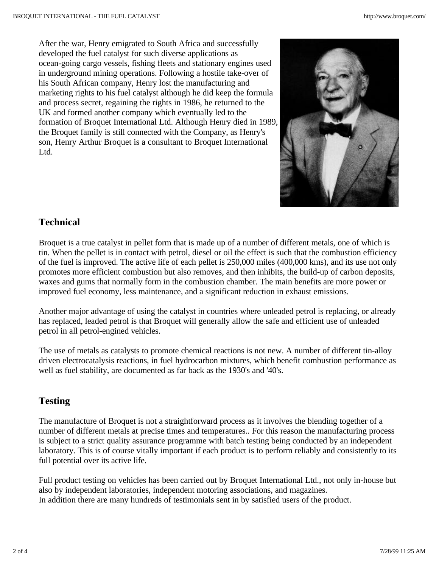After the war, Henry emigrated to South Africa and successfully developed the fuel catalyst for such diverse applications as ocean-going cargo vessels, fishing fleets and stationary engines used in underground mining operations. Following a hostile take-over of his South African company, Henry lost the manufacturing and marketing rights to his fuel catalyst although he did keep the formula and process secret, regaining the rights in 1986, he returned to the UK and formed another company which eventually led to the formation of Broquet International Ltd. Although Henry died in 1989, the Broquet family is still connected with the Company, as Henry's son, Henry Arthur Broquet is a consultant to Broquet International Ltd.



#### **Technical**

Broquet is a true catalyst in pellet form that is made up of a number of different metals, one of which is tin. When the pellet is in contact with petrol, diesel or oil the effect is such that the combustion efficiency of the fuel is improved. The active life of each pellet is 250,000 miles (400,000 kms), and its use not only promotes more efficient combustion but also removes, and then inhibits, the build-up of carbon deposits, waxes and gums that normally form in the combustion chamber. The main benefits are more power or improved fuel economy, less maintenance, and a significant reduction in exhaust emissions.

Another major advantage of using the catalyst in countries where unleaded petrol is replacing, or already has replaced, leaded petrol is that Broquet will generally allow the safe and efficient use of unleaded petrol in all petrol-engined vehicles.

The use of metals as catalysts to promote chemical reactions is not new. A number of different tin-alloy driven electrocatalysis reactions, in fuel hydrocarbon mixtures, which benefit combustion performance as well as fuel stability, are documented as far back as the 1930's and '40's.

## **Testing**

The manufacture of Broquet is not a straightforward process as it involves the blending together of a number of different metals at precise times and temperatures.. For this reason the manufacturing process is subject to a strict quality assurance programme with batch testing being conducted by an independent laboratory. This is of course vitally important if each product is to perform reliably and consistently to its full potential over its active life.

Full product testing on vehicles has been carried out by Broquet International Ltd., not only in-house but also by independent laboratories, independent motoring associations, and magazines. In addition there are many hundreds of testimonials sent in by satisfied users of the product.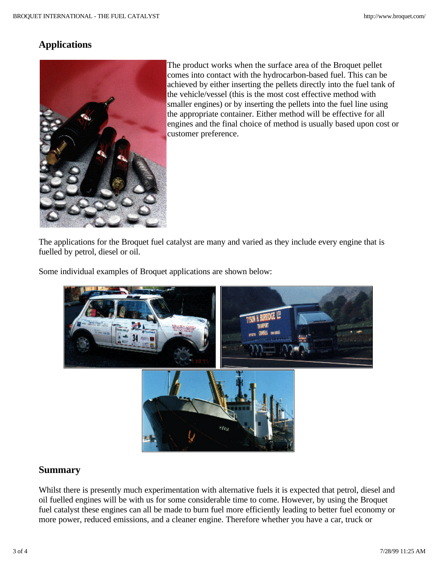### **Applications**



The product works when the surface area of the Broquet pellet comes into contact with the hydrocarbon-based fuel. This can be achieved by either inserting the pellets directly into the fuel tank of the vehicle/vessel (this is the most cost effective method with smaller engines) or by inserting the pellets into the fuel line using the appropriate container. Either method will be effective for all engines and the final choice of method is usually based upon cost or customer preference.

The applications for the Broquet fuel catalyst are many and varied as they include every engine that is fuelled by petrol, diesel or oil.

Some individual examples of Broquet applications are shown below:



#### **Summary**

Whilst there is presently much experimentation with alternative fuels it is expected that petrol, diesel and oil fuelled engines will be with us for some considerable time to come. However, by using the Broquet fuel catalyst these engines can all be made to burn fuel more efficiently leading to better fuel economy or more power, reduced emissions, and a cleaner engine. Therefore whether you have a car, truck or